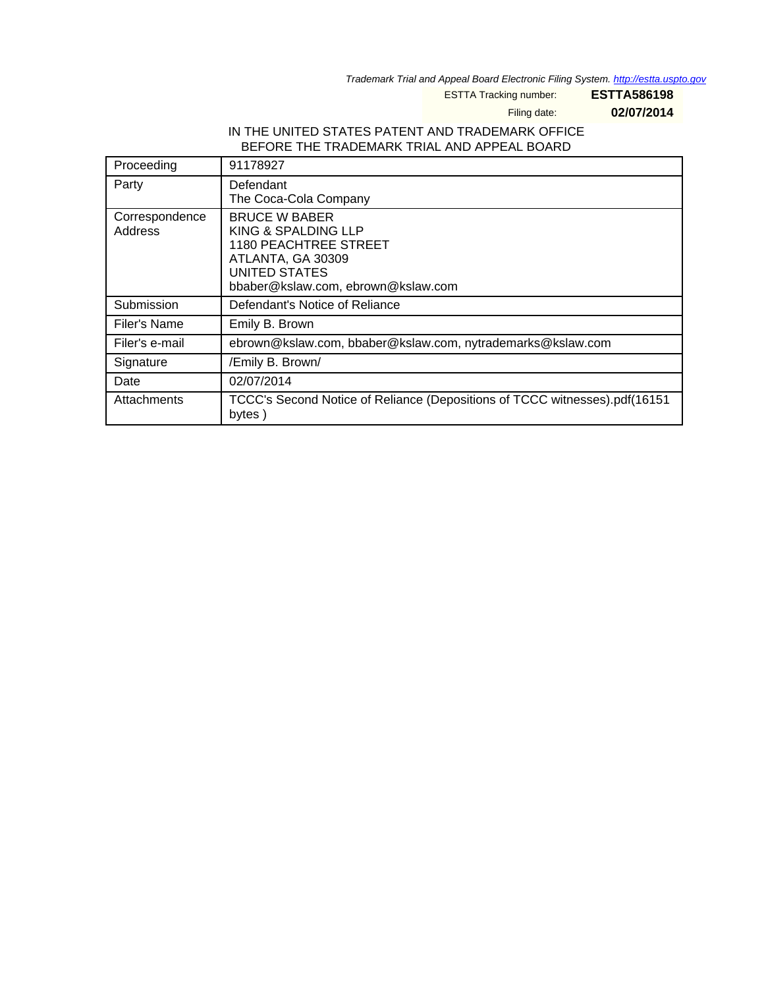Trademark Trial and Appeal Board Electronic Filing System. <http://estta.uspto.gov>

ESTTA Tracking number: **ESTTA586198**

Filing date: **02/07/2014**

#### IN THE UNITED STATES PATENT AND TRADEMARK OFFICE BEFORE THE TRADEMARK TRIAL AND APPEAL BOARD

| Proceeding                | 91178927                                                                                                                                                |
|---------------------------|---------------------------------------------------------------------------------------------------------------------------------------------------------|
| Party                     | Defendant<br>The Coca-Cola Company                                                                                                                      |
| Correspondence<br>Address | <b>BRUCE W BABER</b><br>KING & SPALDING LLP<br><b>1180 PEACHTREE STREET</b><br>ATLANTA, GA 30309<br>UNITED STATES<br>bbaber@kslaw.com, ebrown@kslaw.com |
| Submission                | Defendant's Notice of Reliance                                                                                                                          |
| Filer's Name              | Emily B. Brown                                                                                                                                          |
| Filer's e-mail            | ebrown@kslaw.com, bbaber@kslaw.com, nytrademarks@kslaw.com                                                                                              |
| Signature                 | /Emily B. Brown/                                                                                                                                        |
| Date                      | 02/07/2014                                                                                                                                              |
| Attachments               | TCCC's Second Notice of Reliance (Depositions of TCCC witnesses).pdf(16151<br>bytes)                                                                    |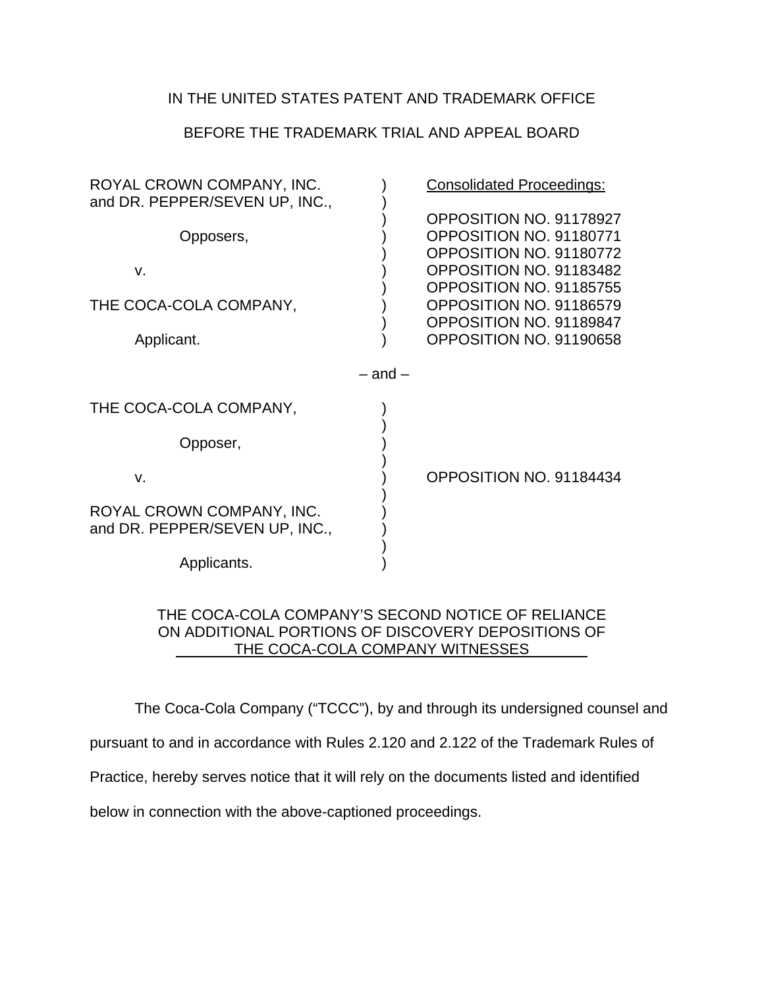## BEFORE THE TRADEMARK TRIAL AND APPEAL BOARD

| ROYAL CROWN COMPANY, INC.<br>and DR. PEPPER/SEVEN UP, INC., |             | <b>Consolidated Proceedings:</b>                                                                         |
|-------------------------------------------------------------|-------------|----------------------------------------------------------------------------------------------------------|
| Opposers,                                                   |             | OPPOSITION NO. 91178927<br>OPPOSITION NO. 91180771<br>OPPOSITION NO. 91180772                            |
| V.<br>THE COCA-COLA COMPANY,                                |             | OPPOSITION NO. 91183482<br>OPPOSITION NO. 91185755<br>OPPOSITION NO. 91186579<br>OPPOSITION NO. 91189847 |
| Applicant.                                                  |             | OPPOSITION NO. 91190658                                                                                  |
|                                                             | $-$ and $-$ |                                                                                                          |
| THE COCA-COLA COMPANY,                                      |             |                                                                                                          |
| Opposer,                                                    |             |                                                                                                          |
| $V_{\cdot}$                                                 |             | OPPOSITION NO. 91184434                                                                                  |
| ROYAL CROWN COMPANY, INC.<br>and DR. PEPPER/SEVEN UP, INC., |             |                                                                                                          |
| Applicants.                                                 |             |                                                                                                          |

#### THE COCA-COLA COMPANY'S SECOND NOTICE OF RELIANCE ON ADDITIONAL PORTIONS OF DISCOVERY DEPOSITIONS OF THE COCA-COLA COMPANY WITNESSES

The Coca-Cola Company ("TCCC"), by and through its undersigned counsel and

pursuant to and in accordance with Rules 2.120 and 2.122 of the Trademark Rules of

Practice, hereby serves notice that it will rely on the documents listed and identified

below in connection with the above-captioned proceedings.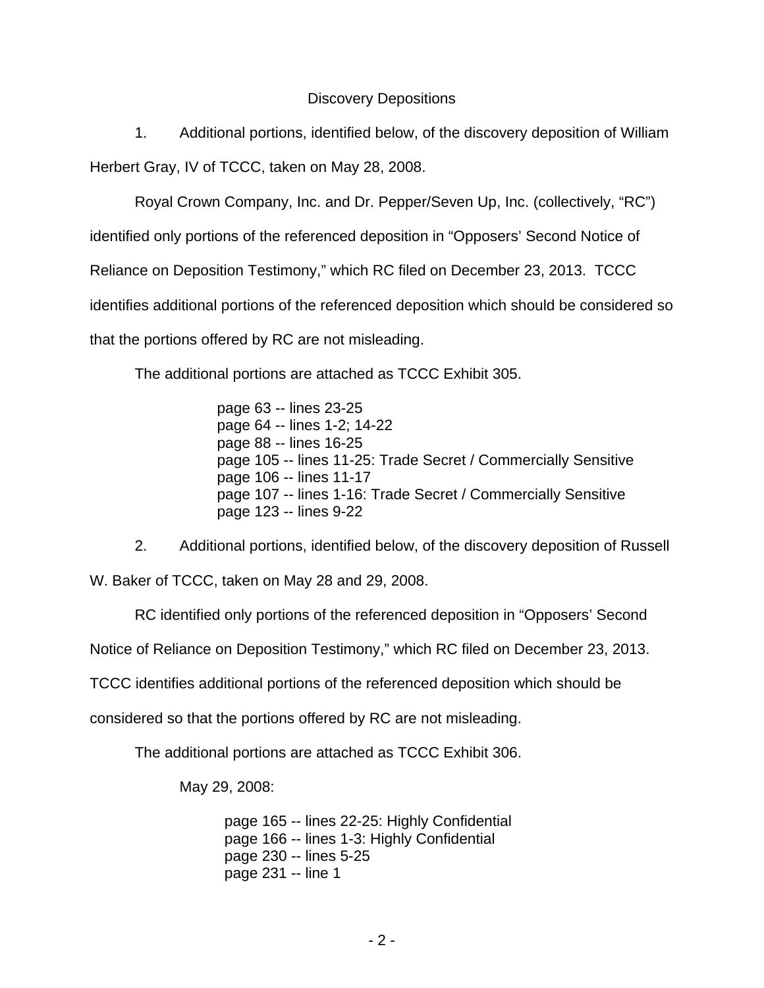## Discovery Depositions

 1. Additional portions, identified below, of the discovery deposition of William Herbert Gray, IV of TCCC, taken on May 28, 2008.

Royal Crown Company, Inc. and Dr. Pepper/Seven Up, Inc. (collectively, "RC")

identified only portions of the referenced deposition in "Opposers' Second Notice of

Reliance on Deposition Testimony," which RC filed on December 23, 2013. TCCC

identifies additional portions of the referenced deposition which should be considered so

that the portions offered by RC are not misleading.

The additional portions are attached as TCCC Exhibit 305.

page 63 -- lines 23-25 page 64 -- lines 1-2; 14-22 page 88 -- lines 16-25 page 105 -- lines 11-25: Trade Secret / Commercially Sensitive page 106 -- lines 11-17 page 107 -- lines 1-16: Trade Secret / Commercially Sensitive page 123 -- lines 9-22

 2. Additional portions, identified below, of the discovery deposition of Russell W. Baker of TCCC, taken on May 28 and 29, 2008.

RC identified only portions of the referenced deposition in "Opposers' Second

Notice of Reliance on Deposition Testimony," which RC filed on December 23, 2013.

TCCC identifies additional portions of the referenced deposition which should be

considered so that the portions offered by RC are not misleading.

The additional portions are attached as TCCC Exhibit 306.

May 29, 2008:

 page 165 -- lines 22-25: Highly Confidential page 166 -- lines 1-3: Highly Confidential page 230 -- lines 5-25 page 231 -- line 1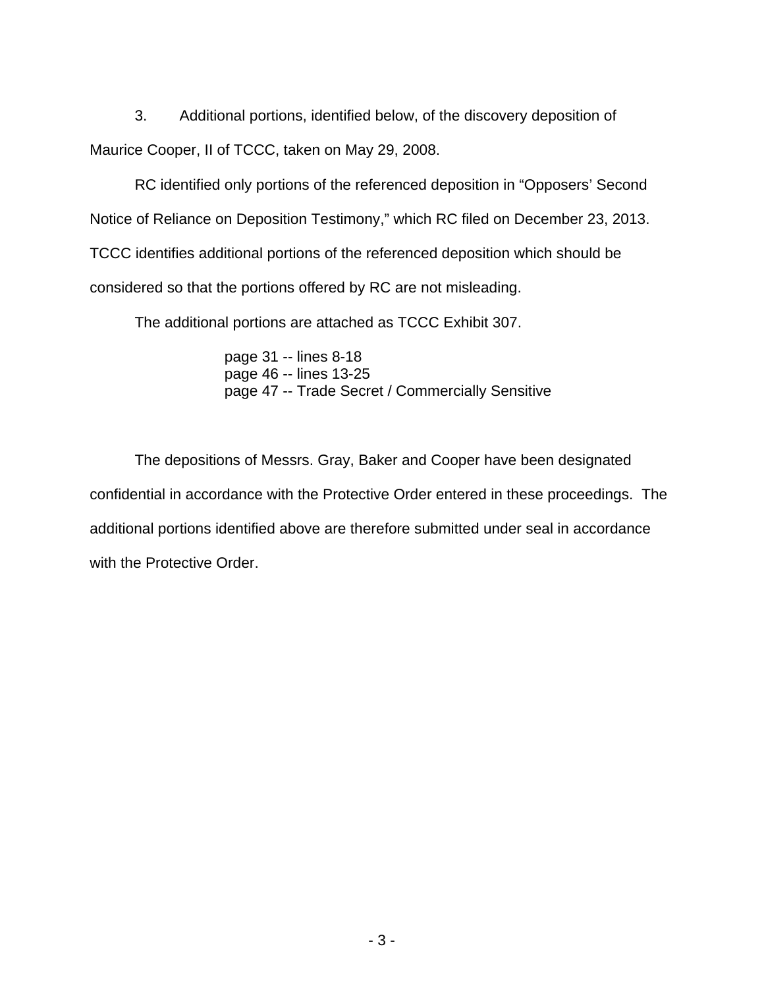3. Additional portions, identified below, of the discovery deposition of Maurice Cooper, II of TCCC, taken on May 29, 2008.

RC identified only portions of the referenced deposition in "Opposers' Second Notice of Reliance on Deposition Testimony," which RC filed on December 23, 2013. TCCC identifies additional portions of the referenced deposition which should be considered so that the portions offered by RC are not misleading.

The additional portions are attached as TCCC Exhibit 307.

 page 31 -- lines 8-18 page 46 -- lines 13-25 page 47 -- Trade Secret / Commercially Sensitive

 The depositions of Messrs. Gray, Baker and Cooper have been designated confidential in accordance with the Protective Order entered in these proceedings. The additional portions identified above are therefore submitted under seal in accordance with the Protective Order.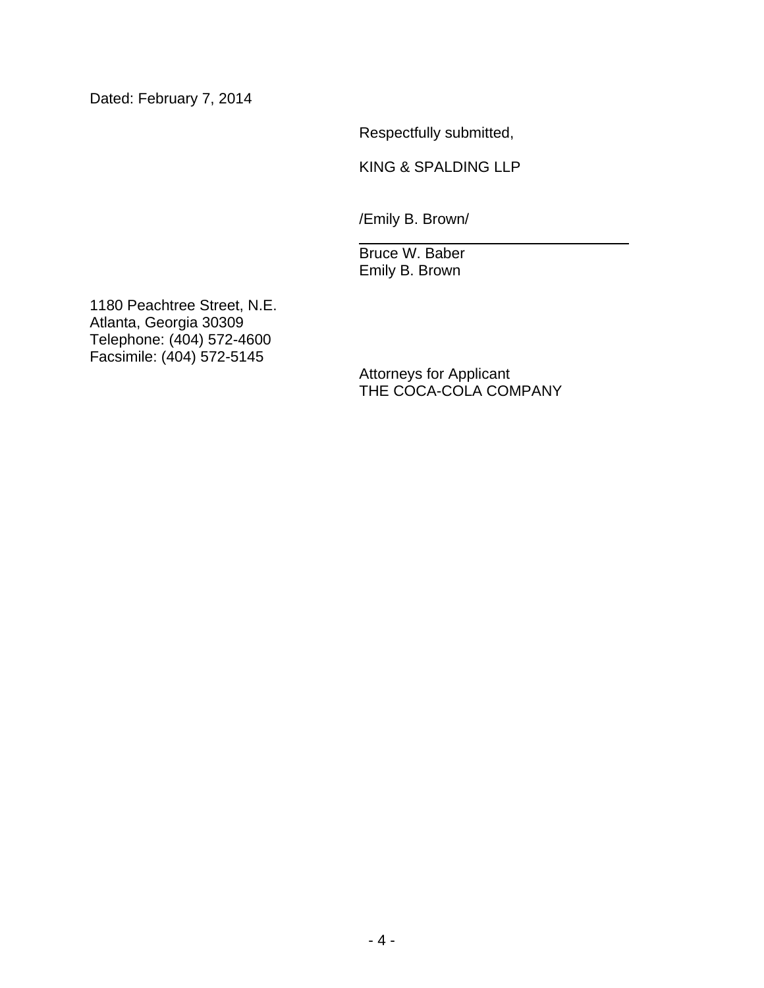Dated: February 7, 2014

Respectfully submitted,

KING & SPALDING LLP

/Emily B. Brown/

 Bruce W. Baber Emily B. Brown

1180 Peachtree Street, N.E. Atlanta, Georgia 30309 Telephone: (404) 572-4600 Facsimile: (404) 572-5145

Attorneys for Applicant THE COCA-COLA COMPANY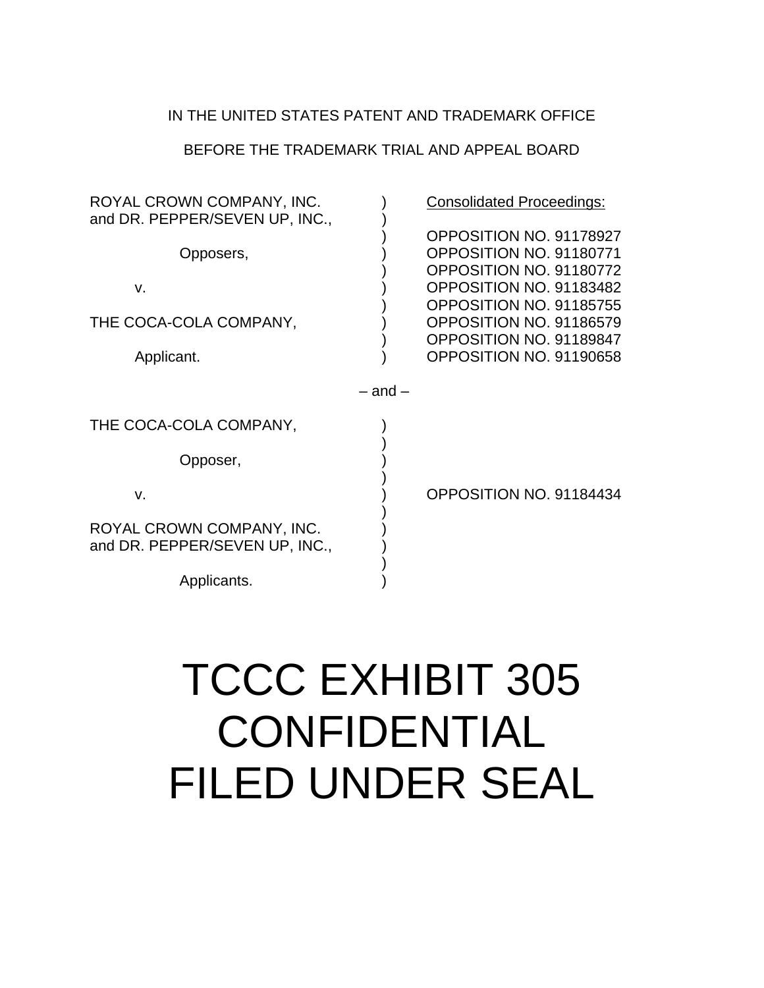#### BEFORE THE TRADEMARK TRIAL AND APPEAL BOARD

| ROYAL CROWN COMPANY, INC.<br>and DR. PEPPER/SEVEN UP, INC., |             | <b>Consolidated Proceedings:</b>                                                                         |
|-------------------------------------------------------------|-------------|----------------------------------------------------------------------------------------------------------|
| Opposers,                                                   |             | OPPOSITION NO. 91178927<br>OPPOSITION NO. 91180771<br>OPPOSITION NO. 91180772                            |
| V.<br>THE COCA-COLA COMPANY,                                |             | OPPOSITION NO. 91183482<br>OPPOSITION NO. 91185755<br>OPPOSITION NO. 91186579<br>OPPOSITION NO. 91189847 |
| Applicant.                                                  |             | OPPOSITION NO. 91190658                                                                                  |
|                                                             | $-$ and $-$ |                                                                                                          |
| THE COCA-COLA COMPANY,                                      |             |                                                                                                          |
| Opposer,                                                    |             |                                                                                                          |
| V.                                                          |             | OPPOSITION NO. 91184434                                                                                  |
| ROYAL CROWN COMPANY, INC.<br>and DR. PEPPER/SEVEN UP, INC., |             |                                                                                                          |
| Applicants.                                                 |             |                                                                                                          |

# TCCC EXHIBIT 305 CONFIDENTIAL FILED UNDER SEAL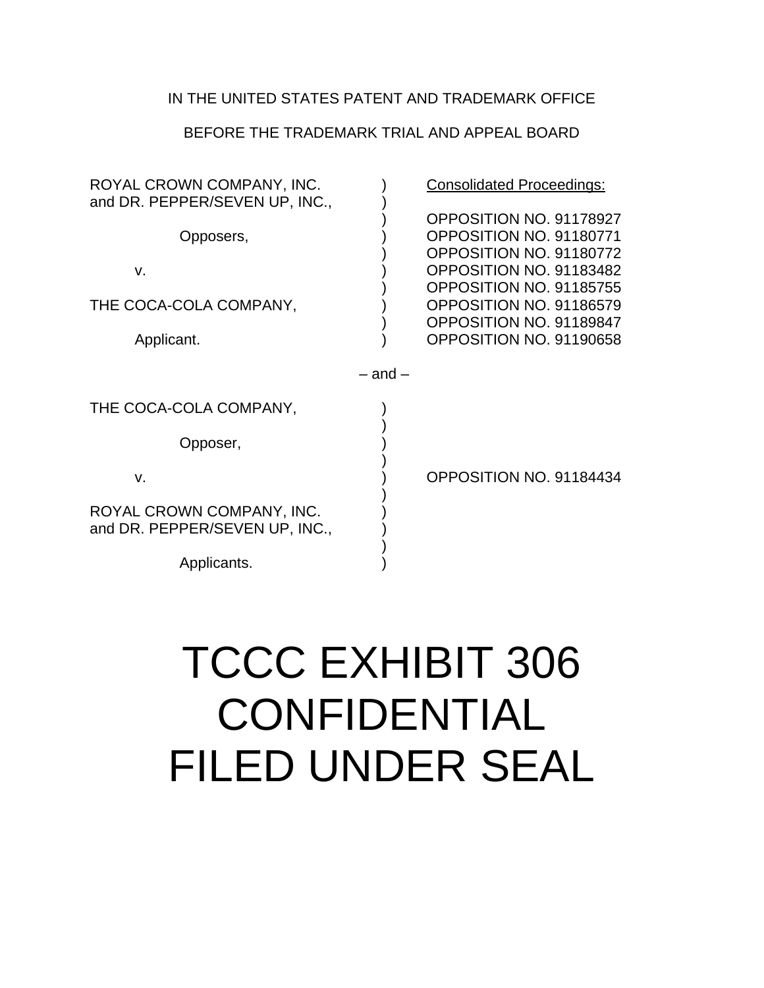## BEFORE THE TRADEMARK TRIAL AND APPEAL BOARD

| ROYAL CROWN COMPANY, INC.<br>and DR. PEPPER/SEVEN UP, INC., |             | <b>Consolidated Proceedings:</b>                                                                         |  |
|-------------------------------------------------------------|-------------|----------------------------------------------------------------------------------------------------------|--|
| Opposers,<br>V.                                             |             | OPPOSITION NO. 91178927<br>OPPOSITION NO. 91180771<br>OPPOSITION NO. 91180772<br>OPPOSITION NO. 91183482 |  |
| THE COCA-COLA COMPANY,<br>Applicant.                        |             | OPPOSITION NO. 91185755<br>OPPOSITION NO. 91186579<br>OPPOSITION NO. 91189847<br>OPPOSITION NO. 91190658 |  |
|                                                             | $-$ and $-$ |                                                                                                          |  |
| THE COCA-COLA COMPANY,                                      |             |                                                                                                          |  |
| Opposer,                                                    |             |                                                                                                          |  |
| V.                                                          |             | OPPOSITION NO. 91184434                                                                                  |  |
| ROYAL CROWN COMPANY, INC.<br>and DR. PEPPER/SEVEN UP, INC., |             |                                                                                                          |  |
| Applicants.                                                 |             |                                                                                                          |  |

# TCCC EXHIBIT 306 CONFIDENTIAL FILED UNDER SEAL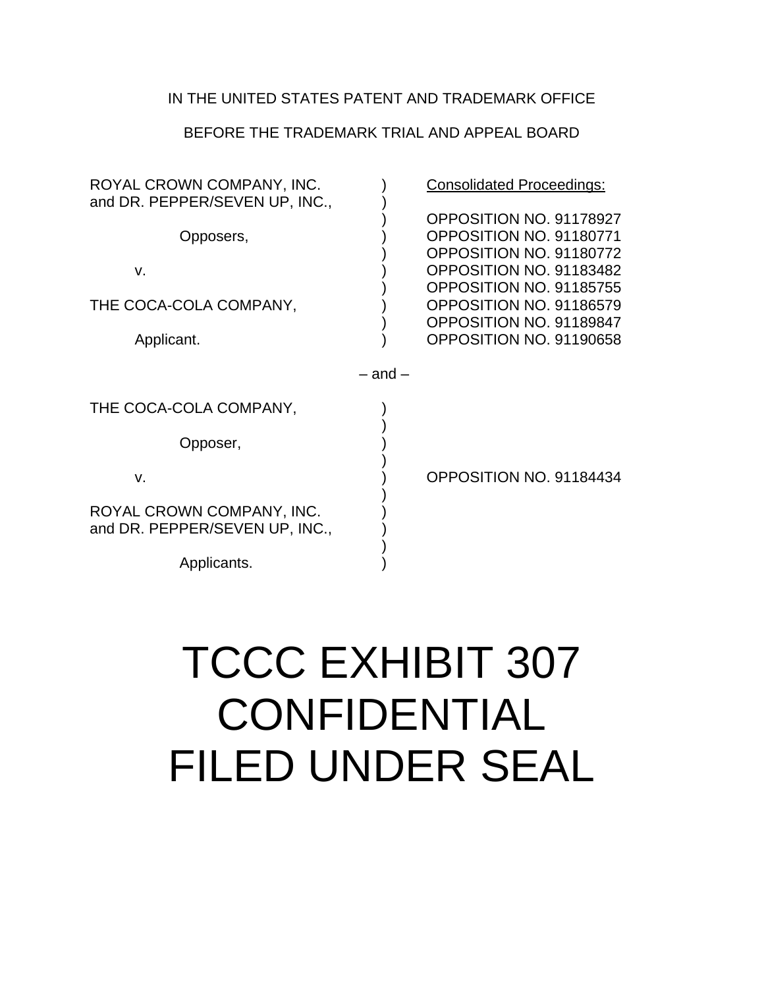## BEFORE THE TRADEMARK TRIAL AND APPEAL BOARD

| ROYAL CROWN COMPANY, INC.<br>and DR. PEPPER/SEVEN UP, INC., |             | <b>Consolidated Proceedings:</b>                                                                                                    |
|-------------------------------------------------------------|-------------|-------------------------------------------------------------------------------------------------------------------------------------|
| Opposers,<br>V.                                             |             | OPPOSITION NO. 91178927<br>OPPOSITION NO. 91180771<br>OPPOSITION NO. 91180772<br>OPPOSITION NO. 91183482<br>OPPOSITION NO. 91185755 |
| THE COCA-COLA COMPANY,<br>Applicant.                        |             | OPPOSITION NO. 91186579<br>OPPOSITION NO. 91189847<br>OPPOSITION NO. 91190658                                                       |
|                                                             | $-$ and $-$ |                                                                                                                                     |
| THE COCA-COLA COMPANY,                                      |             |                                                                                                                                     |
| Opposer,                                                    |             |                                                                                                                                     |
| $V_{\cdot}$                                                 |             | OPPOSITION NO. 91184434                                                                                                             |
| ROYAL CROWN COMPANY, INC.<br>and DR. PEPPER/SEVEN UP, INC., |             |                                                                                                                                     |
| Applicants.                                                 |             |                                                                                                                                     |

# TCCC EXHIBIT 307 **CONFIDENTIAL** FILED UNDER SEAL